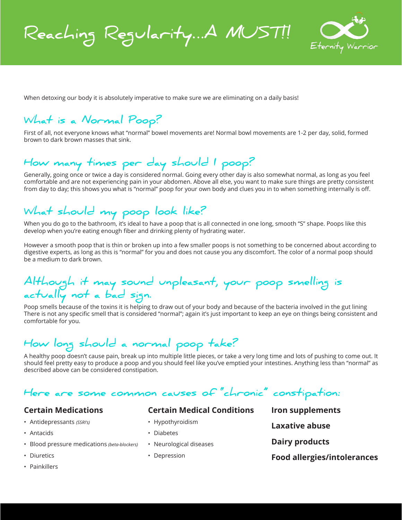**Reaching Regularity…A MUST!!**



When detoxing our body it is absolutely imperative to make sure we are eliminating on a daily basis!

## **What is a Normal Poop?**

First of all, not everyone knows what "normal" bowel movements are! Normal bowl movements are 1-2 per day, solid, formed brown to dark brown masses that sink.

## **How many times per day should I poop?**

Generally, going once or twice a day is considered normal. Going every other day is also somewhat normal, as long as you feel comfortable and are not experiencing pain in your abdomen. Above all else, you want to make sure things are pretty consistent from day to day; this shows you what is "normal" poop for your own body and clues you in to when something internally is off.

## **What should my poop look like?**

When you do go to the bathroom, it's ideal to have a poop that is all connected in one long, smooth "S" shape. Poops like this develop when you're eating enough fiber and drinking plenty of hydrating water.

However a smooth poop that is thin or broken up into a few smaller poops is not something to be concerned about according to digestive experts, as long as this is "normal" for you and does not cause you any discomfort. The color of a normal poop should be a medium to dark brown.

## **Although it may sound unpleasant, your poop smelling is actually not a bad sign.**

Poop smells because of the toxins it is helping to draw out of your body and because of the bacteria involved in the gut lining There is not any specific smell that is considered "normal"; again it's just important to keep an eye on things being consistent and comfortable for you.

# **How long should a normal poop take?**

A healthy poop doesn't cause pain, break up into multiple little pieces, or take a very long time and lots of pushing to come out. It should feel pretty easy to produce a poop and you should feel like you've emptied your intestines. Anything less than "normal" as described above can be considered constipation.

## **Here are some common causes of "chronic" constipation:**

### **Certain Medications**

- Antidepressants *(SSRI's)*
- Antacids
- Blood pressure medications *(beta-blockers)*
- Diuretics
- Painkillers

### **Certain Medical Conditions**

- Hypothyroidism
- Diabetes
- Neurological diseases
- Depression

**Iron supplements Laxative abuse Dairy products Food allergies/intolerances**